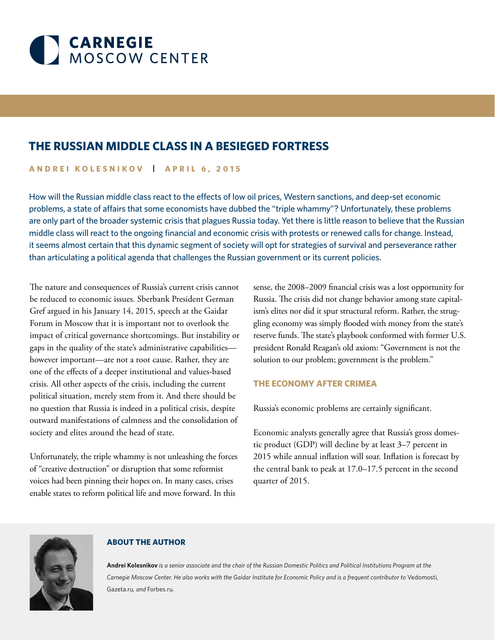

# **THE RUSSIAN MIDDLE CLASS IN A BESIEGED FORTRESS**

## **ANDREI KOLESNIKOV | APRIL 6, 2015**

How will the Russian middle class react to the effects of low oil prices, Western sanctions, and deep-set economic problems, a state of affairs that some economists have dubbed the "triple whammy"? Unfortunately, these problems are only part of the broader systemic crisis that plagues Russia today. Yet there is little reason to believe that the Russian middle class will react to the ongoing financial and economic crisis with protests or renewed calls for change. Instead, it seems almost certain that this dynamic segment of society will opt for strategies of survival and perseverance rather than articulating a political agenda that challenges the Russian government or its current policies.

The nature and consequences of Russia's current crisis cannot be reduced to economic issues. Sberbank President German Gref argued in his January 14, 2015, speech at the Gaidar Forum in Moscow that it is important not to overlook the impact of critical governance shortcomings. But instability or gaps in the quality of the state's administrative capabilities however important—are not a root cause. Rather, they are one of the effects of a deeper institutional and values-based crisis. All other aspects of the crisis, including the current political situation, merely stem from it. And there should be no question that Russia is indeed in a political crisis, despite outward manifestations of calmness and the consolidation of society and elites around the head of state.

Unfortunately, the triple whammy is not unleashing the forces of "creative destruction" or disruption that some reformist voices had been pinning their hopes on. In many cases, crises enable states to reform political life and move forward. In this

sense, the 2008–2009 financial crisis was a lost opportunity for Russia. The crisis did not change behavior among state capitalism's elites nor did it spur structural reform. Rather, the struggling economy was simply flooded with money from the state's reserve funds. The state's playbook conformed with former U.S. president Ronald Reagan's old axiom: "Government is not the solution to our problem; government is the problem."

## **THE ECONOMY AFTER CRIMEA**

Russia's economic problems are certainly significant.

Economic analysts generally agree that Russia's gross domestic product (GDP) will decline by at least 3–7 percent in 2015 while annual inflation will soar. Inflation is forecast by the central bank to peak at 17.0–17.5 percent in the second quarter of 2015.



## **ABOUT THE AUTHOR**

**Andrei Kolesnikov** *is a senior associate and the chair of the Russian Domestic Politics and Political Institutions Program at the*  Carnegie Moscow Center. He also works with the Gaidar Institute for Economic Policy and is a frequent contributor to Vedomosti, Gazeta.ru*, and* Forbes.ru*.*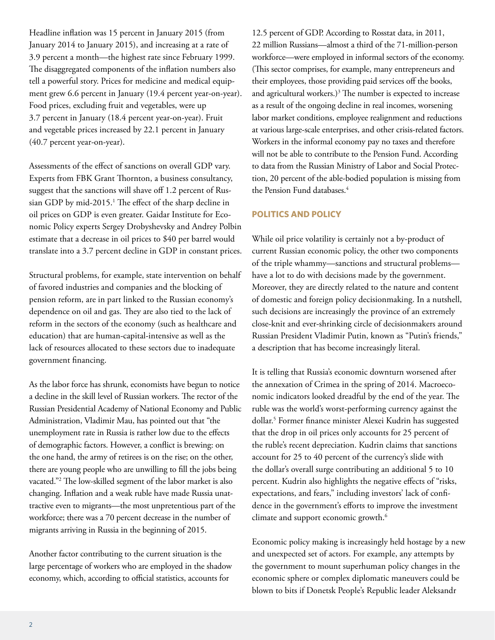Headline inflation was 15 percent in January 2015 (from January 2014 to January 2015), and increasing at a rate of 3.9 percent a month—the highest rate since February 1999. The disaggregated components of the inflation numbers also tell a powerful story. Prices for medicine and medical equipment grew 6.6 percent in January (19.4 percent year-on-year). Food prices, excluding fruit and vegetables, were up 3.7 percent in January (18.4 percent year-on-year). Fruit and vegetable prices increased by 22.1 percent in January (40.7 percent year-on-year).

Assessments of the effect of sanctions on overall GDP vary. Experts from FBK Grant Thornton, a business consultancy, suggest that the sanctions will shave off 1.2 percent of Russian GDP by mid-2015.<sup>1</sup> The effect of the sharp decline in oil prices on GDP is even greater. Gaidar Institute for Economic Policy experts Sergey Drobyshevsky and Andrey Polbin estimate that a decrease in oil prices to \$40 per barrel would translate into a 3.7 percent decline in GDP in constant prices.

Structural problems, for example, state intervention on behalf of favored industries and companies and the blocking of pension reform, are in part linked to the Russian economy's dependence on oil and gas. They are also tied to the lack of reform in the sectors of the economy (such as healthcare and education) that are human-capital-intensive as well as the lack of resources allocated to these sectors due to inadequate government financing.

As the labor force has shrunk, economists have begun to notice a decline in the skill level of Russian workers. The rector of the Russian Presidential Academy of National Economy and Public Administration, Vladimir Mau, has pointed out that "the unemployment rate in Russia is rather low due to the effects of demographic factors. However, a conflict is brewing: on the one hand, the army of retirees is on the rise; on the other, there are young people who are unwilling to fill the jobs being vacated."2 The low-skilled segment of the labor market is also changing. Inflation and a weak ruble have made Russia unattractive even to migrants—the most unpretentious part of the workforce; there was a 70 percent decrease in the number of migrants arriving in Russia in the beginning of 2015.

Another factor contributing to the current situation is the large percentage of workers who are employed in the shadow economy, which, according to official statistics, accounts for

12.5 percent of GDP. According to Rosstat data, in 2011, 22 million Russians—almost a third of the 71-million-person workforce—were employed in informal sectors of the economy. (This sector comprises, for example, many entrepreneurs and their employees, those providing paid services off the books, and agricultural workers.) $3$  The number is expected to increase as a result of the ongoing decline in real incomes, worsening labor market conditions, employee realignment and reductions at various large-scale enterprises, and other crisis-related factors. Workers in the informal economy pay no taxes and therefore will not be able to contribute to the Pension Fund. According to data from the Russian Ministry of Labor and Social Protection, 20 percent of the able-bodied population is missing from the Pension Fund databases.<sup>4</sup>

## **POLITICS AND POLICY**

While oil price volatility is certainly not a by-product of current Russian economic policy, the other two components of the triple whammy—sanctions and structural problems have a lot to do with decisions made by the government. Moreover, they are directly related to the nature and content of domestic and foreign policy decisionmaking. In a nutshell, such decisions are increasingly the province of an extremely close-knit and ever-shrinking circle of decisionmakers around Russian President Vladimir Putin, known as "Putin's friends," a description that has become increasingly literal.

It is telling that Russia's economic downturn worsened after the annexation of Crimea in the spring of 2014. Macroeconomic indicators looked dreadful by the end of the year. The ruble was the world's worst-performing currency against the dollar.5 Former finance minister Alexei Kudrin has suggested that the drop in oil prices only accounts for 25 percent of the ruble's recent depreciation. Kudrin claims that sanctions account for 25 to 40 percent of the currency's slide with the dollar's overall surge contributing an additional 5 to 10 percent. Kudrin also highlights the negative effects of "risks, expectations, and fears," including investors' lack of confidence in the government's efforts to improve the investment climate and support economic growth.<sup>6</sup>

Economic policy making is increasingly held hostage by a new and unexpected set of actors. For example, any attempts by the government to mount superhuman policy changes in the economic sphere or complex diplomatic maneuvers could be blown to bits if Donetsk People's Republic leader Aleksandr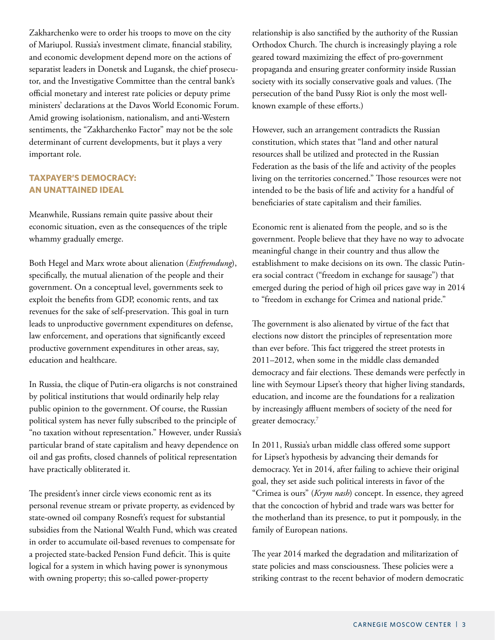Zakharchenko were to order his troops to move on the city of Mariupol. Russia's investment climate, financial stability, and economic development depend more on the actions of separatist leaders in Donetsk and Lugansk, the chief prosecutor, and the Investigative Committee than the central bank's official monetary and interest rate policies or deputy prime ministers' declarations at the Davos World Economic Forum. Amid growing isolationism, nationalism, and anti-Western sentiments, the "Zakharchenko Factor" may not be the sole determinant of current developments, but it plays a very important role.

## **TAXPAYER'S DEMOCRACY: AN UNATTAINED IDEAL**

Meanwhile, Russians remain quite passive about their economic situation, even as the consequences of the triple whammy gradually emerge.

Both Hegel and Marx wrote about alienation (*Entfremdung*), specifically, the mutual alienation of the people and their government. On a conceptual level, governments seek to exploit the benefits from GDP, economic rents, and tax revenues for the sake of self-preservation. This goal in turn leads to unproductive government expenditures on defense, law enforcement, and operations that significantly exceed productive government expenditures in other areas, say, education and healthcare.

In Russia, the clique of Putin-era oligarchs is not constrained by political institutions that would ordinarily help relay public opinion to the government. Of course, the Russian political system has never fully subscribed to the principle of "no taxation without representation." However, under Russia's particular brand of state capitalism and heavy dependence on oil and gas profits, closed channels of political representation have practically obliterated it.

The president's inner circle views economic rent as its personal revenue stream or private property, as evidenced by state-owned oil company Rosneft's request for substantial subsidies from the National Wealth Fund, which was created in order to accumulate oil-based revenues to compensate for a projected state-backed Pension Fund deficit. This is quite logical for a system in which having power is synonymous with owning property; this so-called power-property

relationship is also sanctified by the authority of the Russian Orthodox Church. The church is increasingly playing a role geared toward maximizing the effect of pro-government propaganda and ensuring greater conformity inside Russian society with its socially conservative goals and values. (The persecution of the band Pussy Riot is only the most wellknown example of these efforts.)

However, such an arrangement contradicts the Russian constitution, which states that "land and other natural resources shall be utilized and protected in the Russian Federation as the basis of the life and activity of the peoples living on the territories concerned." Those resources were not intended to be the basis of life and activity for a handful of beneficiaries of state capitalism and their families.

Economic rent is alienated from the people, and so is the government. People believe that they have no way to advocate meaningful change in their country and thus allow the establishment to make decisions on its own. The classic Putinera social contract ("freedom in exchange for sausage") that emerged during the period of high oil prices gave way in 2014 to "freedom in exchange for Crimea and national pride."

The government is also alienated by virtue of the fact that elections now distort the principles of representation more than ever before. This fact triggered the street protests in 2011–2012, when some in the middle class demanded democracy and fair elections. These demands were perfectly in line with Seymour Lipset's theory that higher living standards, education, and income are the foundations for a realization by increasingly affluent members of society of the need for greater democracy.<sup>7</sup>

In 2011, Russia's urban middle class offered some support for Lipset's hypothesis by advancing their demands for democracy. Yet in 2014, after failing to achieve their original goal, they set aside such political interests in favor of the "Crimea is ours" (*Krym nash*) concept. In essence, they agreed that the concoction of hybrid and trade wars was better for the motherland than its presence, to put it pompously, in the family of European nations.

The year 2014 marked the degradation and militarization of state policies and mass consciousness. These policies were a striking contrast to the recent behavior of modern democratic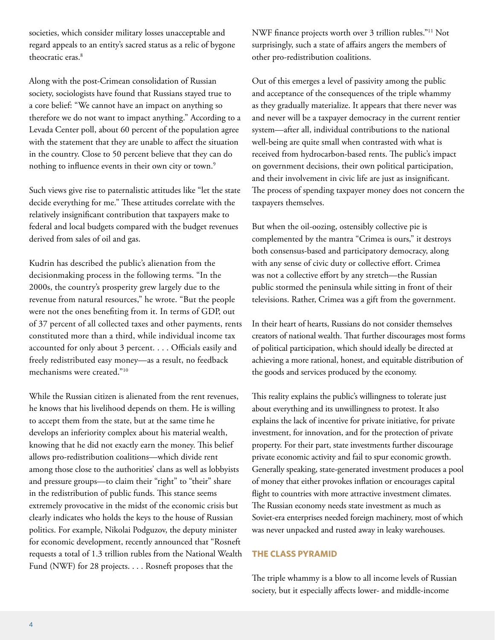societies, which consider military losses unacceptable and regard appeals to an entity's sacred status as a relic of bygone theocratic eras.<sup>8</sup>

Along with the post-Crimean consolidation of Russian society, sociologists have found that Russians stayed true to a core belief: "We cannot have an impact on anything so therefore we do not want to impact anything." According to a Levada Center poll, about 60 percent of the population agree with the statement that they are unable to affect the situation in the country. Close to 50 percent believe that they can do nothing to influence events in their own city or town.<sup>9</sup>

Such views give rise to paternalistic attitudes like "let the state decide everything for me." These attitudes correlate with the relatively insignificant contribution that taxpayers make to federal and local budgets compared with the budget revenues derived from sales of oil and gas.

Kudrin has described the public's alienation from the decisionmaking process in the following terms. "In the 2000s, the country's prosperity grew largely due to the revenue from natural resources," he wrote. "But the people were not the ones benefiting from it. In terms of GDP, out of 37 percent of all collected taxes and other payments, rents constituted more than a third, while individual income tax accounted for only about 3 percent. . . . Officials easily and freely redistributed easy money—as a result, no feedback mechanisms were created."10

While the Russian citizen is alienated from the rent revenues, he knows that his livelihood depends on them. He is willing to accept them from the state, but at the same time he develops an inferiority complex about his material wealth, knowing that he did not exactly earn the money. This belief allows pro-redistribution coalitions—which divide rent among those close to the authorities' clans as well as lobbyists and pressure groups—to claim their "right" to "their" share in the redistribution of public funds. This stance seems extremely provocative in the midst of the economic crisis but clearly indicates who holds the keys to the house of Russian politics. For example, Nikolai Podguzov, the deputy minister for economic development, recently announced that "Rosneft requests a total of 1.3 trillion rubles from the National Wealth Fund (NWF) for 28 projects. . . . Rosneft proposes that the

NWF finance projects worth over 3 trillion rubles."11 Not surprisingly, such a state of affairs angers the members of other pro-redistribution coalitions.

Out of this emerges a level of passivity among the public and acceptance of the consequences of the triple whammy as they gradually materialize. It appears that there never was and never will be a taxpayer democracy in the current rentier system—after all, individual contributions to the national well-being are quite small when contrasted with what is received from hydrocarbon-based rents. The public's impact on government decisions, their own political participation, and their involvement in civic life are just as insignificant. The process of spending taxpayer money does not concern the taxpayers themselves.

But when the oil-oozing, ostensibly collective pie is complemented by the mantra "Crimea is ours," it destroys both consensus-based and participatory democracy, along with any sense of civic duty or collective effort. Crimea was not a collective effort by any stretch—the Russian public stormed the peninsula while sitting in front of their televisions. Rather, Crimea was a gift from the government.

In their heart of hearts, Russians do not consider themselves creators of national wealth. That further discourages most forms of political participation, which should ideally be directed at achieving a more rational, honest, and equitable distribution of the goods and services produced by the economy.

This reality explains the public's willingness to tolerate just about everything and its unwillingness to protest. It also explains the lack of incentive for private initiative, for private investment, for innovation, and for the protection of private property. For their part, state investments further discourage private economic activity and fail to spur economic growth. Generally speaking, state-generated investment produces a pool of money that either provokes inflation or encourages capital flight to countries with more attractive investment climates. The Russian economy needs state investment as much as Soviet-era enterprises needed foreign machinery, most of which was never unpacked and rusted away in leaky warehouses.

## **THE CLASS PYRAMID**

The triple whammy is a blow to all income levels of Russian society, but it especially affects lower- and middle-income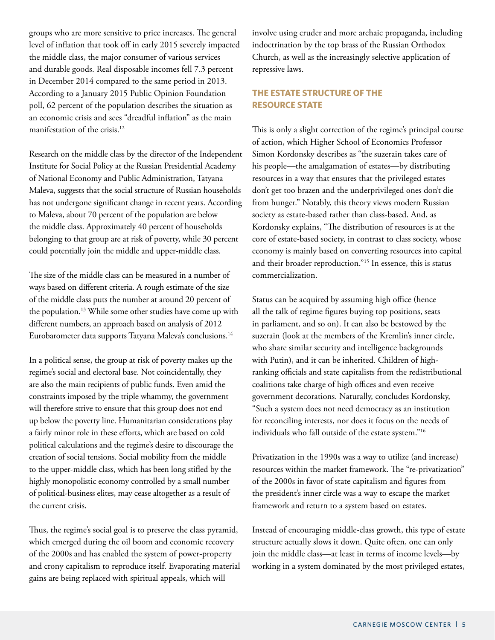groups who are more sensitive to price increases. The general level of inflation that took off in early 2015 severely impacted the middle class, the major consumer of various services and durable goods. Real disposable incomes fell 7.3 percent in December 2014 compared to the same period in 2013. According to a January 2015 Public Opinion Foundation poll, 62 percent of the population describes the situation as an economic crisis and sees "dreadful inflation" as the main manifestation of the crisis.<sup>12</sup>

Research on the middle class by the director of the Independent Institute for Social Policy at the Russian Presidential Academy of National Economy and Public Administration, Tatyana Maleva, suggests that the social structure of Russian households has not undergone significant change in recent years. According to Maleva, about 70 percent of the population are below the middle class. Approximately 40 percent of households belonging to that group are at risk of poverty, while 30 percent could potentially join the middle and upper-middle class.

The size of the middle class can be measured in a number of ways based on different criteria. A rough estimate of the size of the middle class puts the number at around 20 percent of the population.<sup>13</sup> While some other studies have come up with different numbers, an approach based on analysis of 2012 Eurobarometer data supports Tatyana Maleva's conclusions.<sup>14</sup>

In a political sense, the group at risk of poverty makes up the regime's social and electoral base. Not coincidentally, they are also the main recipients of public funds. Even amid the constraints imposed by the triple whammy, the government will therefore strive to ensure that this group does not end up below the poverty line. Humanitarian considerations play a fairly minor role in these efforts, which are based on cold political calculations and the regime's desire to discourage the creation of social tensions. Social mobility from the middle to the upper-middle class, which has been long stifled by the highly monopolistic economy controlled by a small number of political-business elites, may cease altogether as a result of the current crisis.

Thus, the regime's social goal is to preserve the class pyramid, which emerged during the oil boom and economic recovery of the 2000s and has enabled the system of power-property and crony capitalism to reproduce itself. Evaporating material gains are being replaced with spiritual appeals, which will

involve using cruder and more archaic propaganda, including indoctrination by the top brass of the Russian Orthodox Church, as well as the increasingly selective application of repressive laws.

## **THE ESTATE STRUCTURE OF THE RESOURCE STATE**

This is only a slight correction of the regime's principal course of action, which Higher School of Economics Professor Simon Kordonsky describes as "the suzerain takes care of his people—the amalgamation of estates—by distributing resources in a way that ensures that the privileged estates don't get too brazen and the underprivileged ones don't die from hunger." Notably, this theory views modern Russian society as estate-based rather than class-based. And, as Kordonsky explains, "The distribution of resources is at the core of estate-based society, in contrast to class society, whose economy is mainly based on converting resources into capital and their broader reproduction."15 In essence, this is status commercialization.

Status can be acquired by assuming high office (hence all the talk of regime figures buying top positions, seats in parliament, and so on). It can also be bestowed by the suzerain (look at the members of the Kremlin's inner circle, who share similar security and intelligence backgrounds with Putin), and it can be inherited. Children of highranking officials and state capitalists from the redistributional coalitions take charge of high offices and even receive government decorations. Naturally, concludes Kordonsky, "Such a system does not need democracy as an institution for reconciling interests, nor does it focus on the needs of individuals who fall outside of the estate system."16

Privatization in the 1990s was a way to utilize (and increase) resources within the market framework. The "re-privatization" of the 2000s in favor of state capitalism and figures from the president's inner circle was a way to escape the market framework and return to a system based on estates.

Instead of encouraging middle-class growth, this type of estate structure actually slows it down. Quite often, one can only join the middle class—at least in terms of income levels—by working in a system dominated by the most privileged estates,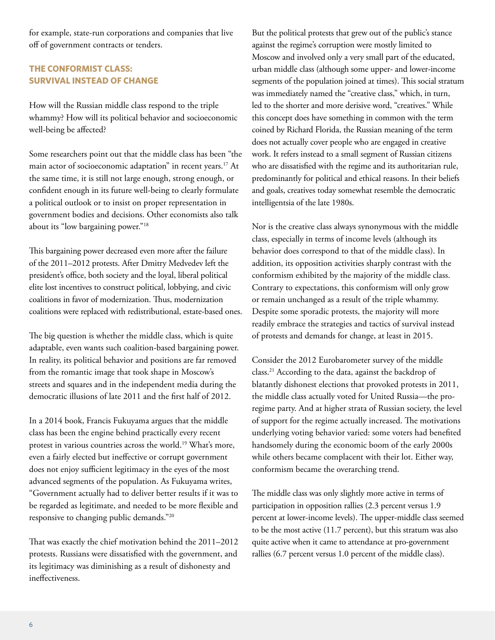for example, state-run corporations and companies that live off of government contracts or tenders.

## **THE CONFORMIST CLASS: SURVIVAL INSTEAD OF CHANGE**

How will the Russian middle class respond to the triple whammy? How will its political behavior and socioeconomic well-being be affected?

Some researchers point out that the middle class has been "the main actor of socioeconomic adaptation" in recent years.<sup>17</sup> At the same time, it is still not large enough, strong enough, or confident enough in its future well-being to clearly formulate a political outlook or to insist on proper representation in government bodies and decisions. Other economists also talk about its "low bargaining power."18

This bargaining power decreased even more after the failure of the 2011–2012 protests. After Dmitry Medvedev left the president's office, both society and the loyal, liberal political elite lost incentives to construct political, lobbying, and civic coalitions in favor of modernization. Thus, modernization coalitions were replaced with redistributional, estate-based ones.

The big question is whether the middle class, which is quite adaptable, even wants such coalition-based bargaining power. In reality, its political behavior and positions are far removed from the romantic image that took shape in Moscow's streets and squares and in the independent media during the democratic illusions of late 2011 and the first half of 2012.

In a 2014 book, Francis Fukuyama argues that the middle class has been the engine behind practically every recent protest in various countries across the world.<sup>19</sup> What's more, even a fairly elected but ineffective or corrupt government does not enjoy sufficient legitimacy in the eyes of the most advanced segments of the population. As Fukuyama writes, "Government actually had to deliver better results if it was to be regarded as legitimate, and needed to be more flexible and responsive to changing public demands."20

That was exactly the chief motivation behind the 2011–2012 protests. Russians were dissatisfied with the government, and its legitimacy was diminishing as a result of dishonesty and ineffectiveness.

But the political protests that grew out of the public's stance against the regime's corruption were mostly limited to Moscow and involved only a very small part of the educated, urban middle class (although some upper- and lower-income segments of the population joined at times). This social stratum was immediately named the "creative class," which, in turn, led to the shorter and more derisive word, "creatives." While this concept does have something in common with the term coined by Richard Florida, the Russian meaning of the term does not actually cover people who are engaged in creative work. It refers instead to a small segment of Russian citizens who are dissatisfied with the regime and its authoritarian rule, predominantly for political and ethical reasons. In their beliefs and goals, creatives today somewhat resemble the democratic intelligentsia of the late 1980s.

Nor is the creative class always synonymous with the middle class, especially in terms of income levels (although its behavior does correspond to that of the middle class). In addition, its opposition activities sharply contrast with the conformism exhibited by the majority of the middle class. Contrary to expectations, this conformism will only grow or remain unchanged as a result of the triple whammy. Despite some sporadic protests, the majority will more readily embrace the strategies and tactics of survival instead of protests and demands for change, at least in 2015.

Consider the 2012 Eurobarometer survey of the middle class.21 According to the data, against the backdrop of blatantly dishonest elections that provoked protests in 2011, the middle class actually voted for United Russia—the proregime party. And at higher strata of Russian society, the level of support for the regime actually increased. The motivations underlying voting behavior varied: some voters had benefited handsomely during the economic boom of the early 2000s while others became complacent with their lot. Either way, conformism became the overarching trend.

The middle class was only slightly more active in terms of participation in opposition rallies (2.3 percent versus 1.9 percent at lower-income levels). The upper-middle class seemed to be the most active (11.7 percent), but this stratum was also quite active when it came to attendance at pro-government rallies (6.7 percent versus 1.0 percent of the middle class).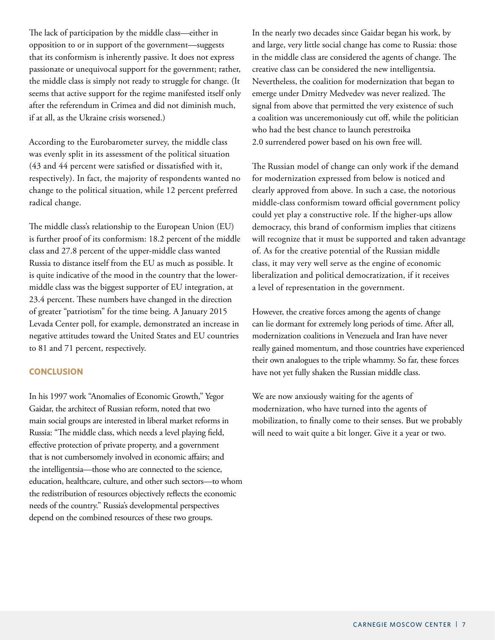The lack of participation by the middle class—either in opposition to or in support of the government—suggests that its conformism is inherently passive. It does not express passionate or unequivocal support for the government; rather, the middle class is simply not ready to struggle for change. (It seems that active support for the regime manifested itself only after the referendum in Crimea and did not diminish much, if at all, as the Ukraine crisis worsened.)

According to the Eurobarometer survey, the middle class was evenly split in its assessment of the political situation (43 and 44 percent were satisfied or dissatisfied with it, respectively). In fact, the majority of respondents wanted no change to the political situation, while 12 percent preferred radical change.

The middle class's relationship to the European Union (EU) is further proof of its conformism: 18.2 percent of the middle class and 27.8 percent of the upper-middle class wanted Russia to distance itself from the EU as much as possible. It is quite indicative of the mood in the country that the lowermiddle class was the biggest supporter of EU integration, at 23.4 percent. These numbers have changed in the direction of greater "patriotism" for the time being. A January 2015 Levada Center poll, for example, demonstrated an increase in negative attitudes toward the United States and EU countries to 81 and 71 percent, respectively.

#### **CONCLUSION**

In his 1997 work "Anomalies of Economic Growth," Yegor Gaidar, the architect of Russian reform, noted that two main social groups are interested in liberal market reforms in Russia: "The middle class, which needs a level playing field, effective protection of private property, and a government that is not cumbersomely involved in economic affairs; and the intelligentsia—those who are connected to the science, education, healthcare, culture, and other such sectors—to whom the redistribution of resources objectively reflects the economic needs of the country." Russia's developmental perspectives depend on the combined resources of these two groups.

In the nearly two decades since Gaidar began his work, by and large, very little social change has come to Russia: those in the middle class are considered the agents of change. The creative class can be considered the new intelligentsia. Nevertheless, the coalition for modernization that began to emerge under Dmitry Medvedev was never realized. The signal from above that permitted the very existence of such a coalition was unceremoniously cut off, while the politician who had the best chance to launch perestroika 2.0 surrendered power based on his own free will.

The Russian model of change can only work if the demand for modernization expressed from below is noticed and clearly approved from above. In such a case, the notorious middle-class conformism toward official government policy could yet play a constructive role. If the higher-ups allow democracy, this brand of conformism implies that citizens will recognize that it must be supported and taken advantage of. As for the creative potential of the Russian middle class, it may very well serve as the engine of economic liberalization and political democratization, if it receives a level of representation in the government.

However, the creative forces among the agents of change can lie dormant for extremely long periods of time. After all, modernization coalitions in Venezuela and Iran have never really gained momentum, and those countries have experienced their own analogues to the triple whammy. So far, these forces have not yet fully shaken the Russian middle class.

We are now anxiously waiting for the agents of modernization, who have turned into the agents of mobilization, to finally come to their senses. But we probably will need to wait quite a bit longer. Give it a year or two.